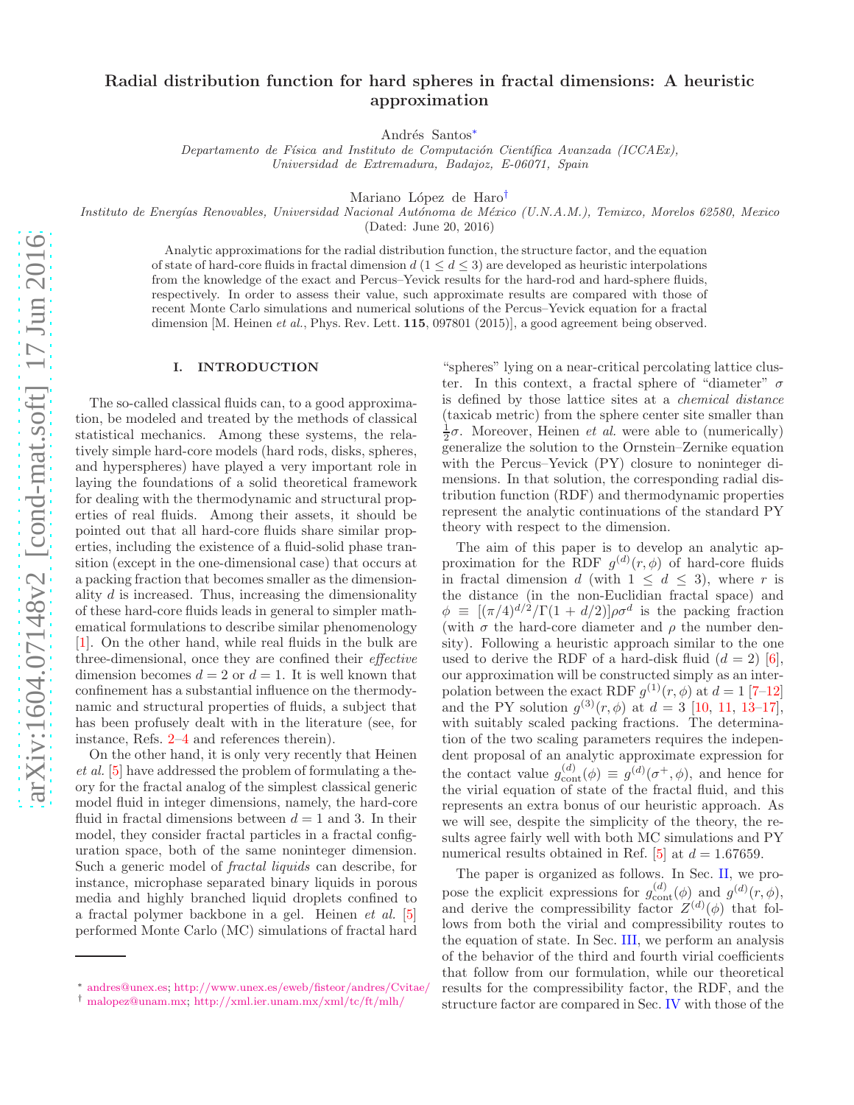# Radial distribution function for hard spheres in fractal dimensions: A heuristic approximation

Andrés Santos<sup>\*</sup>

Departamento de Física and Instituto de Computación Científica Avanzada (ICCAEx), Universidad de Extremadura, Badajoz, E-06071, Spain

Mariano López de Haro<sup>[†](#page-0-1)</sup>

Instituto de Energías Renovables, Universidad Nacional Autónoma de México (U.N.A.M.), Temixco, Morelos 62580, Mexico

(Dated: June 20, 2016)

Analytic approximations for the radial distribution function, the structure factor, and the equation of state of hard-core fluids in fractal dimension  $d(1 \leq d \leq 3)$  are developed as heuristic interpolations from the knowledge of the exact and Percus–Yevick results for the hard-rod and hard-sphere fluids, respectively. In order to assess their value, such approximate results are compared with those of recent Monte Carlo simulations and numerical solutions of the Percus–Yevick equation for a fractal dimension [M. Heinen et al., Phys. Rev. Lett. 115, 097801 (2015)], a good agreement being observed.

# I. INTRODUCTION

The so-called classical fluids can, to a good approximation, be modeled and treated by the methods of classical statistical mechanics. Among these systems, the relatively simple hard-core models (hard rods, disks, spheres, and hyperspheres) have played a very important role in laying the foundations of a solid theoretical framework for dealing with the thermodynamic and structural properties of real fluids. Among their assets, it should be pointed out that all hard-core fluids share similar properties, including the existence of a fluid-solid phase transition (except in the one-dimensional case) that occurs at a packing fraction that becomes smaller as the dimensionality d is increased. Thus, increasing the dimensionality of these hard-core fluids leads in general to simpler mathematical formulations to describe similar phenomenology [\[1\]](#page-8-0). On the other hand, while real fluids in the bulk are three-dimensional, once they are confined their effective dimension becomes  $d = 2$  or  $d = 1$ . It is well known that confinement has a substantial influence on the thermodynamic and structural properties of fluids, a subject that has been profusely dealt with in the literature (see, for instance, Refs. [2](#page-8-1)[–4](#page-8-2) and references therein).

On the other hand, it is only very recently that Heinen et al. [\[5](#page-8-3)] have addressed the problem of formulating a theory for the fractal analog of the simplest classical generic model fluid in integer dimensions, namely, the hard-core fluid in fractal dimensions between  $d = 1$  and 3. In their model, they consider fractal particles in a fractal configuration space, both of the same noninteger dimension. Such a generic model of fractal liquids can describe, for instance, microphase separated binary liquids in porous media and highly branched liquid droplets confined to a fractal polymer backbone in a gel. Heinen et al. [\[5](#page-8-3)] performed Monte Carlo (MC) simulations of fractal hard

"spheres" lying on a near-critical percolating lattice cluster. In this context, a fractal sphere of "diameter"  $\sigma$ is defined by those lattice sites at a chemical distance (taxicab metric) from the sphere center site smaller than  $\frac{1}{2}σ$ . Moreover, Heinen *et al.* were able to (numerically) generalize the solution to the Ornstein–Zernike equation with the Percus–Yevick (PY) closure to noninteger dimensions. In that solution, the corresponding radial distribution function (RDF) and thermodynamic properties represent the analytic continuations of the standard PY theory with respect to the dimension.

The aim of this paper is to develop an analytic approximation for the RDF  $g^{(d)}(r,\phi)$  of hard-core fluids in fractal dimension d (with  $1 \leq d \leq 3$ ), where r is the distance (in the non-Euclidian fractal space) and  $\phi \equiv [(\pi/4)^{d/2}/\Gamma(1+d/2)]\rho\sigma^d$  is the packing fraction (with  $\sigma$  the hard-core diameter and  $\rho$  the number density). Following a heuristic approach similar to the one used to derive the RDF of a hard-disk fluid  $(d = 2)$  [\[6\]](#page-8-4), our approximation will be constructed simply as an interpolation between the exact RDF  $g^{(1)}(r,\phi)$  at  $d=1$  [\[7](#page-8-5)-12] and the PY solution  $g^{(3)}(r,\phi)$  at  $d=3$  [\[10](#page-8-7), [11](#page-8-8), [13](#page-8-9)-17], with suitably scaled packing fractions. The determination of the two scaling parameters requires the independent proposal of an analytic approximate expression for the contact value  $g_{\text{cont}}^{(d)}(\phi) \equiv g^{(d)}(\sigma^+, \phi)$ , and hence for the virial equation of state of the fractal fluid, and this represents an extra bonus of our heuristic approach. As we will see, despite the simplicity of the theory, the results agree fairly well with both MC simulations and PY numerical results obtained in Ref. [\[5\]](#page-8-3) at  $d = 1.67659$ .

The paper is organized as follows. In Sec. [II,](#page-1-0) we propose the explicit expressions for  $g_{\text{cont}}^{(d)}(\phi)$  and  $g^{(d)}(r,\phi)$ , and derive the compressibility factor  $Z^{(d)}(\phi)$  that follows from both the virial and compressibility routes to the equation of state. In Sec. [III,](#page-3-0) we perform an analysis of the behavior of the third and fourth virial coefficients that follow from our formulation, while our theoretical results for the compressibility factor, the RDF, and the structure factor are compared in Sec. [IV](#page-4-0) with those of the

<span id="page-0-0"></span><sup>∗</sup> [andres@unex.es;](mailto:andres@unex.es) <http://www.unex.es/eweb/fisteor/andres/Cvitae/>

<span id="page-0-1"></span><sup>†</sup> [malopez@unam.mx;](mailto:malopez@unam.mx) <http://xml.ier.unam.mx/xml/tc/ft/mlh/>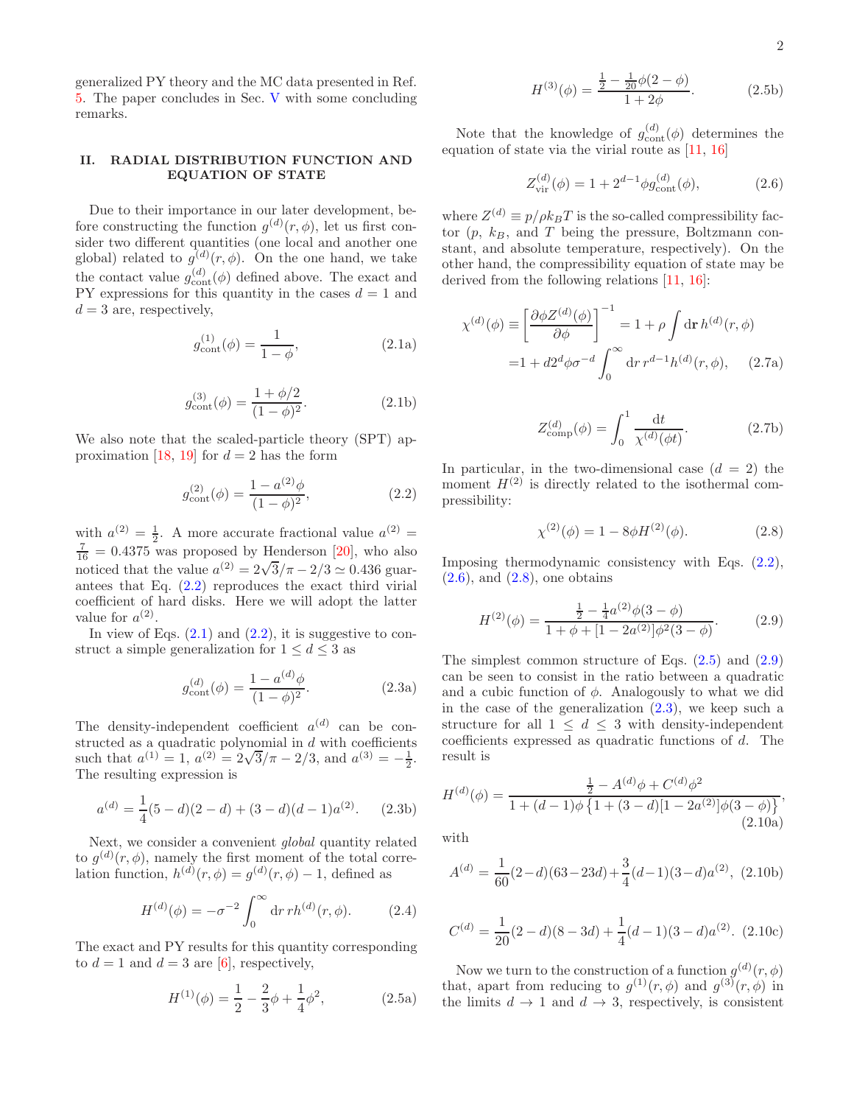generalized PY theory and the MC data presented in Ref. [5](#page-8-3). The paper concludes in Sec. [V](#page-5-0) with some concluding remarks.

# <span id="page-1-0"></span>II. RADIAL DISTRIBUTION FUNCTION AND EQUATION OF STATE

Due to their importance in our later development, before constructing the function  $g^{(d)}(r,\phi)$ , let us first consider two different quantities (one local and another one global) related to  $g^{(d)}(r,\phi)$ . On the one hand, we take the contact value  $g_{\text{cont}}^{(d)}(\phi)$  defined above. The exact and PY expressions for this quantity in the cases  $d = 1$  and  $d=3$  are, respectively,

<span id="page-1-2"></span>
$$
g_{\text{cont}}^{(1)}(\phi) = \frac{1}{1 - \phi},
$$
\n(2.1a)

$$
g_{\text{cont}}^{(3)}(\phi) = \frac{1 + \phi/2}{(1 - \phi)^2}.
$$
 (2.1b)

We also note that the scaled-particle theory (SPT) ap-proximation [\[18,](#page-8-11) [19\]](#page-8-12) for  $d = 2$  has the form

<span id="page-1-1"></span>
$$
g_{\text{cont}}^{(2)}(\phi) = \frac{1 - a^{(2)}\phi}{(1 - \phi)^2},\tag{2.2}
$$

with  $a^{(2)} = \frac{1}{2}$ . A more accurate fractional value  $a^{(2)} =$  $\frac{7}{16}$  = 0.4375 was proposed by Henderson [\[20](#page-8-13)], who also noticed that the value  $a^{(2)} = 2\sqrt{3}/\pi - 2/3 \simeq 0.436$  guarantees that Eq. [\(2.2\)](#page-1-1) reproduces the exact third virial coefficient of hard disks. Here we will adopt the latter value for  $a^{(2)}$ .

In view of Eqs.  $(2.1)$  and  $(2.2)$ , it is suggestive to construct a simple generalization for  $1 \leq d \leq 3$  as

$$
g_{\text{cont}}^{(d)}(\phi) = \frac{1 - a^{(d)}\phi}{(1 - \phi)^2}.
$$
 (2.3a)

The density-independent coefficient  $a^{(d)}$  can be constructed as a quadratic polynomial in  $d$  with coefficients such that  $a^{(1)} = 1$ ,  $a^{(2)} = 2\sqrt{3}/\pi - 2/3$ , and  $a^{(3)} = -\frac{1}{2}$ . The resulting expression is

$$
a^{(d)} = \frac{1}{4}(5-d)(2-d) + (3-d)(d-1)a^{(2)}.
$$
 (2.3b)

Next, we consider a convenient global quantity related to  $g^{(d)}(r,\phi)$ , namely the first moment of the total correlation function,  $h^{(d)}(r,\phi) = g^{(d)}(r,\phi) - 1$ , defined as

$$
H^{(d)}(\phi) = -\sigma^{-2} \int_0^\infty dr \, rh^{(d)}(r, \phi). \tag{2.4}
$$

The exact and PY results for this quantity corresponding to  $d = 1$  and  $d = 3$  are [\[6\]](#page-8-4), respectively,

$$
H^{(1)}(\phi) = \frac{1}{2} - \frac{2}{3}\phi + \frac{1}{4}\phi^2, \qquad (2.5a)
$$

$$
H^{(3)}(\phi) = \frac{\frac{1}{2} - \frac{1}{20}\phi(2-\phi)}{1+2\phi}.
$$
 (2.5b)

Note that the knowledge of  $g_{\text{cont}}^{(d)}(\phi)$  determines the equation of state via the virial route as [\[11,](#page-8-8) [16\]](#page-8-14)

<span id="page-1-9"></span><span id="page-1-3"></span>
$$
Z_{\rm vir}^{(d)}(\phi) = 1 + 2^{d-1} \phi g_{\rm cont}^{(d)}(\phi), \tag{2.6}
$$

where  $Z^{(d)} \equiv p/\rho k_B T$  is the so-called compressibility factor  $(p, k_B, \text{ and } T$  being the pressure, Boltzmann constant, and absolute temperature, respectively). On the other hand, the compressibility equation of state may be derived from the following relations [\[11,](#page-8-8) [16](#page-8-14)]:

$$
\chi^{(d)}(\phi) \equiv \left[\frac{\partial \phi Z^{(d)}(\phi)}{\partial \phi}\right]^{-1} = 1 + \rho \int d\mathbf{r} h^{(d)}(r, \phi)
$$

$$
= 1 + d2^d \phi \sigma^{-d} \int_0^\infty d\mathbf{r} \, r^{d-1} h^{(d)}(r, \phi), \quad (2.7a)
$$

<span id="page-1-10"></span>
$$
Z_{\text{comp}}^{(d)}(\phi) = \int_0^1 \frac{\mathrm{d}t}{\chi^{(d)}(\phi t)}.
$$
 (2.7b)

In particular, in the two-dimensional case  $(d = 2)$  the moment  $H^{(2)}$  is directly related to the isothermal compressibility:

<span id="page-1-4"></span>
$$
\chi^{(2)}(\phi) = 1 - 8\phi H^{(2)}(\phi). \tag{2.8}
$$

Imposing thermodynamic consistency with Eqs. [\(2.2\)](#page-1-1),  $(2.6)$ , and  $(2.8)$ , one obtains

<span id="page-1-6"></span>
$$
H^{(2)}(\phi) = \frac{\frac{1}{2} - \frac{1}{4}a^{(2)}\phi(3-\phi)}{1+\phi+[1-2a^{(2)}]\phi^2(3-\phi)}.
$$
 (2.9)

<span id="page-1-7"></span>The simplest common structure of Eqs.  $(2.5)$  and  $(2.9)$ can be seen to consist in the ratio between a quadratic and a cubic function of  $\phi$ . Analogously to what we did in the case of the generalization  $(2.3)$ , we keep such a structure for all  $1 \leq d \leq 3$  with density-independent coefficients expressed as quadratic functions of d. The result is

<span id="page-1-8"></span>
$$
H^{(d)}(\phi) = \frac{\frac{1}{2} - A^{(d)}\phi + C^{(d)}\phi^2}{1 + (d - 1)\phi \left\{ 1 + (3 - d)[1 - 2a^{(2)}]\phi(3 - \phi) \right\}},\tag{2.10a}
$$

with

$$
A^{(d)} = \frac{1}{60}(2-d)(63-23d) + \frac{3}{4}(d-1)(3-d)a^{(2)}, (2.10b)
$$

$$
C^{(d)} = \frac{1}{20}(2-d)(8-3d) + \frac{1}{4}(d-1)(3-d)a^{(2)}.
$$
 (2.10c)

<span id="page-1-5"></span>Now we turn to the construction of a function  $g^{(d)}(r,\phi)$ that, apart from reducing to  $g^{(1)}(r,\phi)$  and  $g^{(3)}(r,\phi)$  in the limits  $d \to 1$  and  $d \to 3$ , respectively, is consistent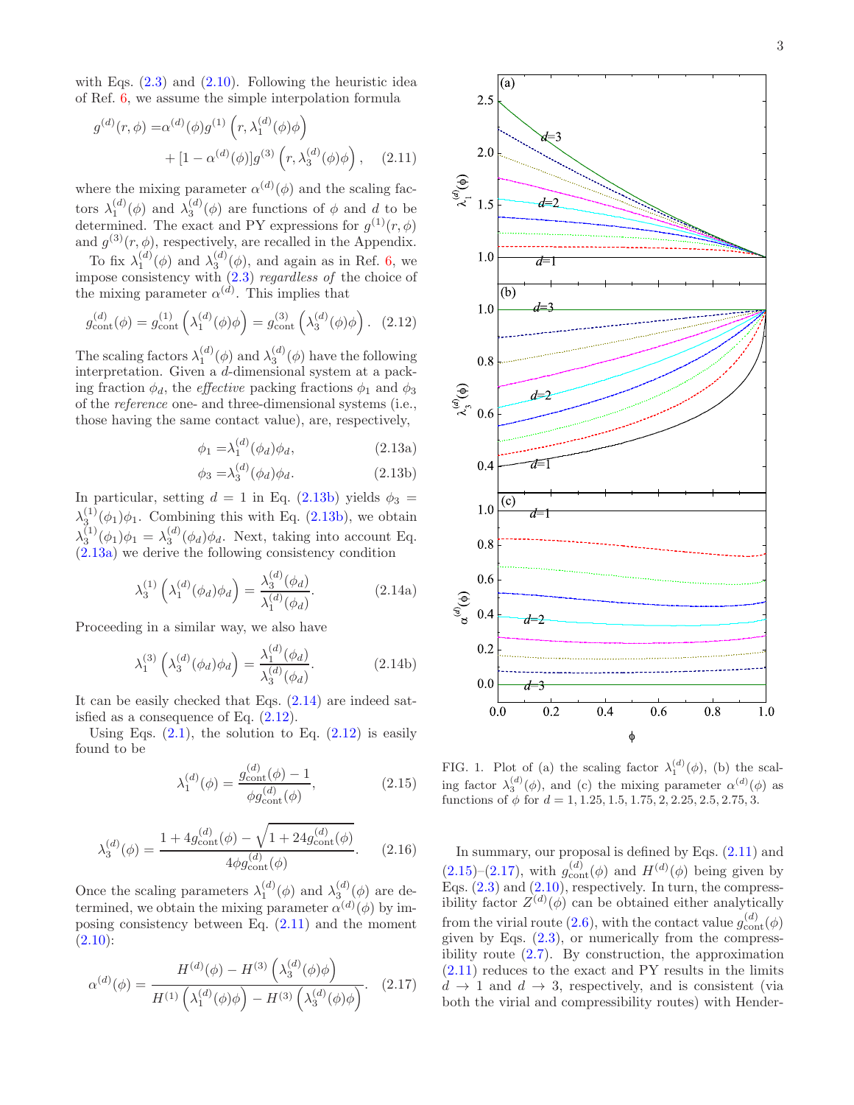with Eqs.  $(2.3)$  and  $(2.10)$ . Following the heuristic idea of Ref. [6](#page-8-4), we assume the simple interpolation formula

$$
g^{(d)}(r,\phi) = \alpha^{(d)}(\phi)g^{(1)}(r,\lambda_1^{(d)}(\phi)\phi) + [1 - \alpha^{(d)}(\phi)]g^{(3)}(r,\lambda_3^{(d)}(\phi)\phi), \quad (2.11)
$$

where the mixing parameter  $\alpha^{(d)}(\phi)$  and the scaling factors  $\lambda_1^{(d)}(\phi)$  and  $\lambda_3^{(d)}(\phi)$  are functions of  $\phi$  and d to be determined. The exact and PY expressions for  $g^{(1)}(r,\phi)$ and  $g^{(3)}(r,\phi)$ , respectively, are recalled in the Appendix.

To fix  $\lambda_1^{(d)}(\phi)$  and  $\lambda_3^{(d)}(\phi)$ , and again as in Ref. [6](#page-8-4), we impose consistency with  $(2.3)$  regardless of the choice of the mixing parameter  $\alpha^{(d)}$ . This implies that

<span id="page-2-3"></span>
$$
g_{\text{cont}}^{(d)}(\phi) = g_{\text{cont}}^{(1)}\left(\lambda_1^{(d)}(\phi)\phi\right) = g_{\text{cont}}^{(3)}\left(\lambda_3^{(d)}(\phi)\phi\right). \tag{2.12}
$$

The scaling factors  $\lambda_1^{(d)}(\phi)$  and  $\lambda_3^{(d)}(\phi)$  have the following interpretation. Given a d-dimensional system at a packing fraction  $\phi_d$ , the *effective* packing fractions  $\phi_1$  and  $\phi_3$ of the reference one- and three-dimensional systems (i.e., those having the same contact value), are, respectively,

$$
\phi_1 = \lambda_1^{(d)}(\phi_d)\phi_d, \tag{2.13a}
$$

<span id="page-2-1"></span><span id="page-2-0"></span>
$$
\phi_3 = \lambda_3^{(d)}(\phi_d)\phi_d. \tag{2.13b}
$$

In particular, setting  $d = 1$  in Eq. [\(2.13b\)](#page-2-0) yields  $\phi_3 =$  $\lambda_3^{(1)}(\phi_1)\phi_1$ . Combining this with Eq. [\(2.13b\)](#page-2-0), we obtain  $\lambda_3^{(1)}(\phi_1)\phi_1 = \lambda_3^{(d)}(\phi_d)\phi_d$ . Next, taking into account Eq. [\(2.13a\)](#page-2-1) we derive the following consistency condition

$$
\lambda_3^{(1)} \left( \lambda_1^{(d)} (\phi_d) \phi_d \right) = \frac{\lambda_3^{(d)} (\phi_d)}{\lambda_1^{(d)} (\phi_d)}.
$$
 (2.14a)

Proceeding in a similar way, we also have

$$
\lambda_1^{(3)} \left( \lambda_3^{(d)} (\phi_d) \phi_d \right) = \frac{\lambda_1^{(d)} (\phi_d)}{\lambda_3^{(d)} (\phi_d)}.
$$
 (2.14b)

It can be easily checked that Eqs. [\(2.14\)](#page-2-2) are indeed satisfied as a consequence of Eq.  $(2.12)$ .

Using Eqs.  $(2.1)$ , the solution to Eq.  $(2.12)$  is easily found to be

<span id="page-2-5"></span>
$$
\lambda_1^{(d)}(\phi) = \frac{g_{\text{cont}}^{(d)}(\phi) - 1}{\phi g_{\text{cont}}^{(d)}(\phi)},
$$
\n(2.15)

$$
\lambda_3^{(d)}(\phi) = \frac{1 + 4g_{\text{cont}}^{(d)}(\phi) - \sqrt{1 + 24g_{\text{cont}}^{(d)}(\phi)}}{4\phi g_{\text{cont}}^{(d)}(\phi)}.
$$
 (2.16)

Once the scaling parameters  $\lambda_1^{(d)}(\phi)$  and  $\lambda_3^{(d)}(\phi)$  are determined, we obtain the mixing parameter  $\alpha^{(d)}(\phi)$  by imposing consistency between Eq. [\(2.11\)](#page-2-4) and the moment  $(2.10):$  $(2.10):$ 

<span id="page-2-6"></span>
$$
\alpha^{(d)}(\phi) = \frac{H^{(d)}(\phi) - H^{(3)}(\lambda_3^{(d)}(\phi)\phi)}{H^{(1)}(\lambda_1^{(d)}(\phi)\phi) - H^{(3)}(\lambda_3^{(d)}(\phi)\phi)}.
$$
 (2.17)

<span id="page-2-4"></span>

<span id="page-2-7"></span><span id="page-2-2"></span>FIG. 1. Plot of (a) the scaling factor  $\lambda_1^{(d)}(\phi)$ , (b) the scaling factor  $\lambda_3^{(d)}(\phi)$ , and (c) the mixing parameter  $\alpha^{(d)}(\phi)$  as functions of  $\phi$  for  $d = 1, 1.25, 1.5, 1.75, 2, 2.25, 2.5, 2.75, 3.$ 

In summary, our proposal is defined by Eqs. [\(2.11\)](#page-2-4) and  $(2.15)$ – $(2.17)$ , with  $g_{\text{cont}}^{(d)}(\phi)$  and  $H^{(d)}(\phi)$  being given by Eqs.  $(2.3)$  and  $(2.10)$ , respectively. In turn, the compressibility factor  $Z^{(d)}(\phi)$  can be obtained either analytically from the virial route [\(2.6\)](#page-1-3), with the contact value  $g_{\text{cont}}^{(d)}(\phi)$ given by Eqs.  $(2.3)$ , or numerically from the compressibility route [\(2.7\)](#page-1-9). By construction, the approximation [\(2.11\)](#page-2-4) reduces to the exact and PY results in the limits  $d \rightarrow 1$  and  $d \rightarrow 3$ , respectively, and is consistent (via both the virial and compressibility routes) with Hender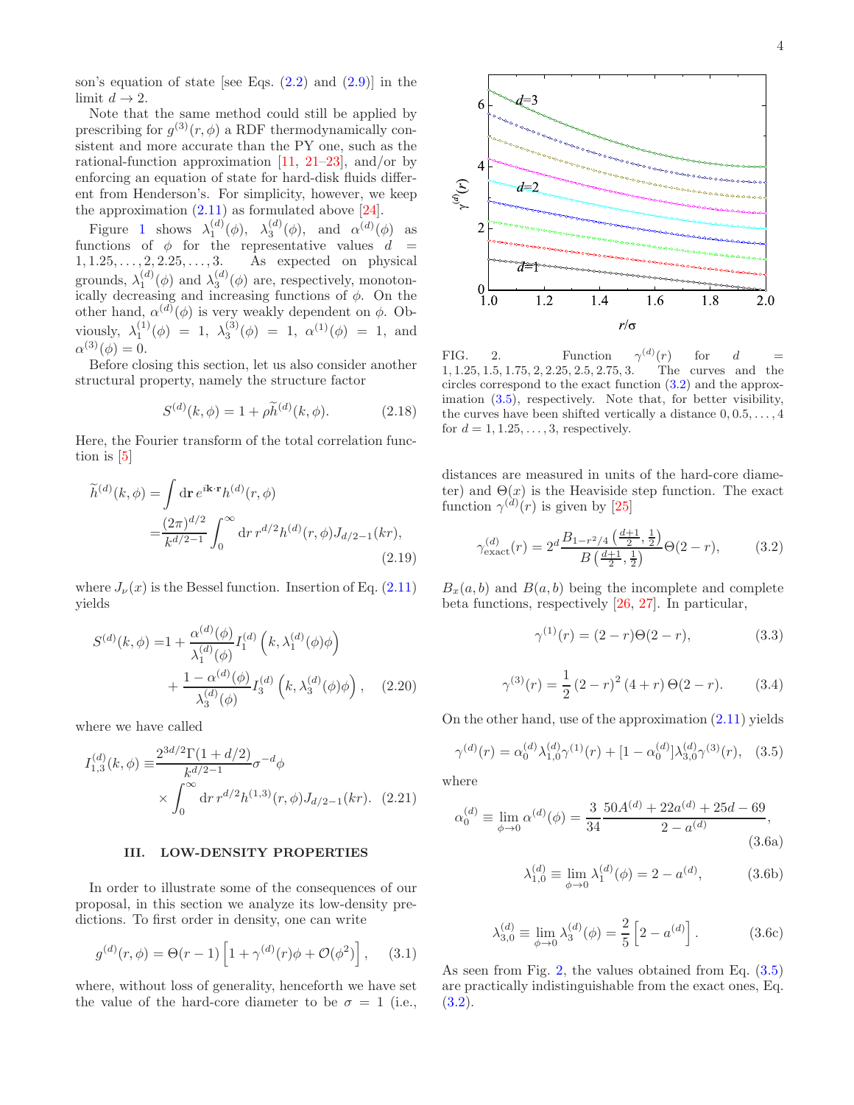son's equation of state [see Eqs.  $(2.2)$  and  $(2.9)$ ] in the limit  $d \to 2$ .

Note that the same method could still be applied by prescribing for  $g^{(3)}(r,\phi)$  a RDF thermodynamically consistent and more accurate than the PY one, such as the rational-function approximation  $[11, 21-23]$  $[11, 21-23]$  $[11, 21-23]$ , and/or by enforcing an equation of state for hard-disk fluids different from Henderson's. For simplicity, however, we keep the approximation  $(2.11)$  as formulated above [\[24](#page-8-17)].

Figure [1](#page-2-7) shows  $\lambda_1^{(d)}(\phi)$ ,  $\lambda_3^{(d)}(\phi)$ , and  $\alpha^{(d)}(\phi)$  as functions of  $\phi$  for the representative values  $d =$  $1, 1.25, \ldots, 2, 2.25, \ldots, 3.$  As expected on physical grounds,  $\lambda_1^{(d)}(\phi)$  and  $\lambda_3^{(d)}(\phi)$  are, respectively, monotonically decreasing and increasing functions of  $\phi$ . On the other hand,  $\alpha^{(d)}(\phi)$  is very weakly dependent on  $\phi$ . Obviously,  $\lambda_1^{(1)}(\phi) = 1$ ,  $\lambda_3^{(3)}(\phi) = 1$ ,  $\alpha^{(1)}(\phi) = 1$ , and  $\alpha^{(3)}(\phi) = 0.$ 

Before closing this section, let us also consider another structural property, namely the structure factor

$$
S^{(d)}(k,\phi) = 1 + \rho \tilde{h}^{(d)}(k,\phi).
$$
 (2.18)

Here, the Fourier transform of the total correlation function is [\[5](#page-8-3)]

$$
\widetilde{h}^{(d)}(k,\phi) = \int \mathrm{d}\mathbf{r} \, e^{i\mathbf{k}\cdot\mathbf{r}} h^{(d)}(r,\phi) \n= \frac{(2\pi)^{d/2}}{k^{d/2-1}} \int_0^\infty \mathrm{d}r \, r^{d/2} h^{(d)}(r,\phi) J_{d/2-1}(kr),
$$
\n(2.19)

where  $J_{\nu}(x)$  is the Bessel function. Insertion of Eq. [\(2.11\)](#page-2-4) yields

$$
S^{(d)}(k,\phi) = 1 + \frac{\alpha^{(d)}(\phi)}{\lambda_1^{(d)}(\phi)} I_1^{(d)}(k,\lambda_1^{(d)}(\phi)\phi) + \frac{1 - \alpha^{(d)}(\phi)}{\lambda_3^{(d)}(\phi)} I_3^{(d)}(k,\lambda_3^{(d)}(\phi)\phi), \quad (2.20)
$$

where we have called

$$
I_{1,3}^{(d)}(k,\phi) \equiv \frac{2^{3d/2}\Gamma(1+d/2)}{k^{d/2-1}} \sigma^{-d}\phi
$$
  
 
$$
\times \int_0^\infty dr \, r^{d/2} h^{(1,3)}(r,\phi) J_{d/2-1}(kr). \tag{2.21}
$$

# <span id="page-3-0"></span>III. LOW-DENSITY PROPERTIES

In order to illustrate some of the consequences of our proposal, in this section we analyze its low-density predictions. To first order in density, one can write

<span id="page-3-4"></span>
$$
g^{(d)}(r,\phi) = \Theta(r-1)\left[1 + \gamma^{(d)}(r)\phi + \mathcal{O}(\phi^2)\right], \quad (3.1)
$$

where, without loss of generality, henceforth we have set the value of the hard-core diameter to be  $\sigma = 1$  (i.e.,



<span id="page-3-3"></span>FIG. 2. Function  $\gamma^{(d)}(r)$ for  $d =$ 1, 1.25, 1.5, 1.75, 2, 2.25, 2.5, 2.75, 3. The curves and the circles correspond to the exact function [\(3.2\)](#page-3-1) and the approximation [\(3.5\)](#page-3-2), respectively. Note that, for better visibility, the curves have been shifted vertically a distance  $0, 0.5, \ldots, 4$ for  $d = 1, 1.25, \ldots, 3$ , respectively.

distances are measured in units of the hard-core diameter) and  $\Theta(x)$  is the Heaviside step function. The exact function  $\gamma^{(d)}(r)$  is given by [\[25](#page-8-18)]

<span id="page-3-1"></span>
$$
\gamma_{\text{exact}}^{(d)}(r) = 2^d \frac{B_{1-r^2/4} \left(\frac{d+1}{2}, \frac{1}{2}\right)}{B \left(\frac{d+1}{2}, \frac{1}{2}\right)} \Theta(2-r),\tag{3.2}
$$

 $B_x(a, b)$  and  $B(a, b)$  being the incomplete and complete beta functions, respectively [\[26](#page-8-19), [27](#page-8-20)]. In particular,

$$
\gamma^{(1)}(r) = (2 - r)\Theta(2 - r), \tag{3.3}
$$

$$
\gamma^{(3)}(r) = \frac{1}{2} (2 - r)^2 (4 + r) \Theta(2 - r). \tag{3.4}
$$

<span id="page-3-5"></span>On the other hand, use of the approximation [\(2.11\)](#page-2-4) yields

<span id="page-3-2"></span>
$$
\gamma^{(d)}(r) = \alpha_0^{(d)} \lambda_{1,0}^{(d)} \gamma^{(1)}(r) + [1 - \alpha_0^{(d)}] \lambda_{3,0}^{(d)} \gamma^{(3)}(r), \quad (3.5)
$$

<span id="page-3-6"></span>where

$$
\alpha_0^{(d)} \equiv \lim_{\phi \to 0} \alpha^{(d)}(\phi) = \frac{3}{34} \frac{50A^{(d)} + 22a^{(d)} + 25d - 69}{2 - a^{(d)}},\tag{3.6a}
$$

$$
\lambda_{1,0}^{(d)} \equiv \lim_{\phi \to 0} \lambda_1^{(d)}(\phi) = 2 - a^{(d)}, \tag{3.6b}
$$

$$
\lambda_{3,0}^{(d)} \equiv \lim_{\phi \to 0} \lambda_3^{(d)}(\phi) = \frac{2}{5} \left[ 2 - a^{(d)} \right].
$$
 (3.6c)

As seen from Fig. [2,](#page-3-3) the values obtained from Eq. [\(3.5\)](#page-3-2) are practically indistinguishable from the exact ones, Eq.  $(3.2).$  $(3.2).$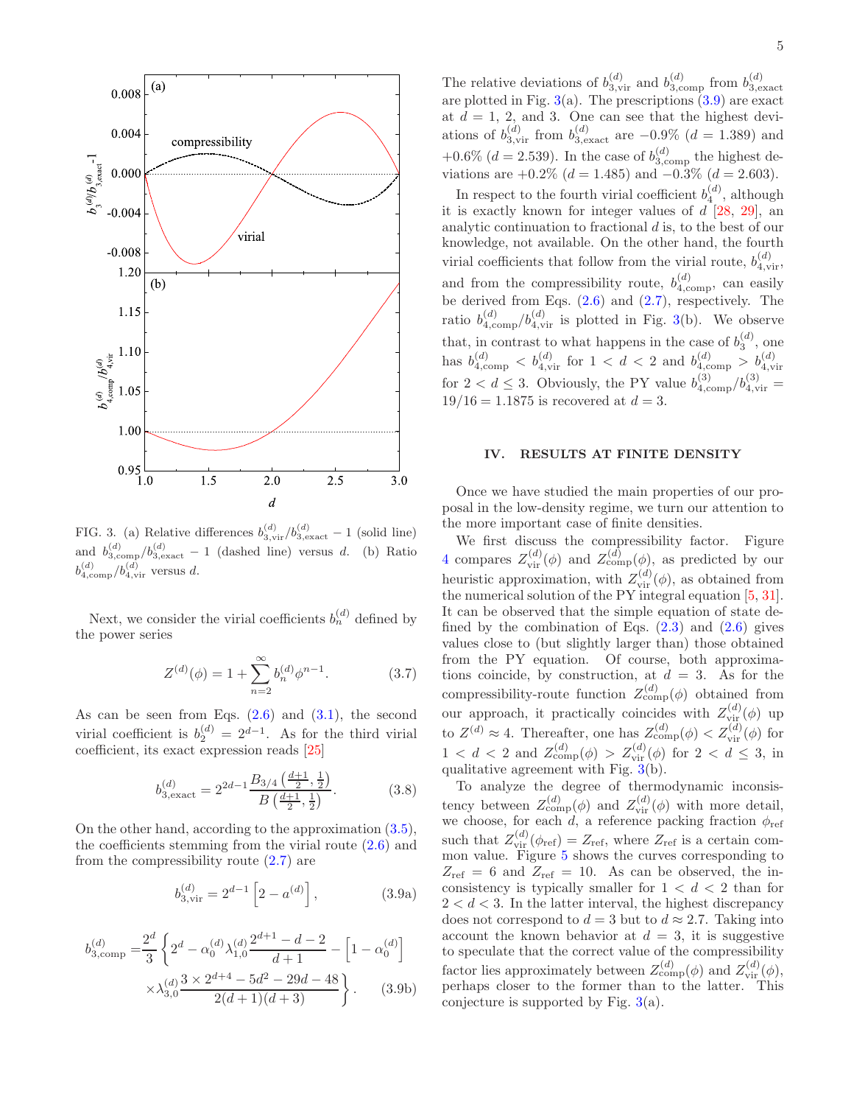

<span id="page-4-1"></span>FIG. 3. (a) Relative differences  $b_{3,\text{vir}}^{(d)}/b_{3,\text{exact}}^{(d)}-1$  (solid line) and  $b_{3,\text{comp}}^{(d)}/b_{3,\text{exact}}^{(d)}-1$  (dashed line) versus d. (b) Ratio  $b_{4,\text{comp}}^{(d)}/b_{4,\text{vir}}^{(d)}$  versus d.

Next, we consider the virial coefficients  $b_n^{(d)}$  defined by the power series

$$
Z^{(d)}(\phi) = 1 + \sum_{n=2}^{\infty} b_n^{(d)} \phi^{n-1}.
$$
 (3.7)

As can be seen from Eqs.  $(2.6)$  and  $(3.1)$ , the second virial coefficient is  $b_2^{(d)} = 2^{d-1}$ . As for the third virial coefficient, its exact expression reads [\[25](#page-8-18)]

$$
b_{3, \text{exact}}^{(d)} = 2^{2d-1} \frac{B_{3/4} \left(\frac{d+1}{2}, \frac{1}{2}\right)}{B \left(\frac{d+1}{2}, \frac{1}{2}\right)}.
$$
 (3.8)

On the other hand, according to the approximation [\(3.5\)](#page-3-2), the coefficients stemming from the virial route [\(2.6\)](#page-1-3) and from the compressibility route [\(2.7\)](#page-1-9) are

$$
b_{3,\text{vir}}^{(d)} = 2^{d-1} \left[ 2 - a^{(d)} \right],\tag{3.9a}
$$

$$
b_{3,\text{comp}}^{(d)} = \frac{2^d}{3} \left\{ 2^d - \alpha_0^{(d)} \lambda_{1,0}^{(d)} \frac{2^{d+1} - d - 2}{d+1} - \left[ 1 - \alpha_0^{(d)} \right] \times \lambda_{3,0}^{(d)} \frac{3 \times 2^{d+4} - 5d^2 - 29d - 48}{2(d+1)(d+3)} \right\}.
$$
 (3.9b)

The relative deviations of  $b_{3,\text{vir}}^{(d)}$  and  $b_{3,\text{comp}}^{(d)}$  from  $b_{3,\text{exact}}^{(d)}$ are plotted in Fig.  $3(a)$  $3(a)$ . The prescriptions  $(3.9)$  are exact at  $d = 1, 2,$  and 3. One can see that the highest deviations of  $b_{3,\text{vir}}^{(d)}$  from  $b_{3,\text{exact}}^{(d)}$  are  $-0.9\%$   $(d = 1.389)$  and +0.6% ( $d = 2.539$ ). In the case of  $b_{3,\text{comp}}^{(d)}$  the highest deviations are  $+0.2\%$  (d = 1.485) and  $-0.3\%$  (d = 2.603).

In respect to the fourth virial coefficient  $b_4^{(d)}$ , although it is exactly known for integer values of  $d$  [\[28](#page-8-21), [29](#page-8-22)], an analytic continuation to fractional d is, to the best of our knowledge, not available. On the other hand, the fourth virial coefficients that follow from the virial route,  $b_{4,\text{vir}}^{(d)}$ , and from the compressibility route,  $b_{4,\text{comp}}^{(d)}$ , can easily be derived from Eqs. [\(2.6\)](#page-1-3) and [\(2.7\)](#page-1-9), respectively. The ratio  $b_{4,\text{comp}}^{(d)}/b_{4,\text{vir}}^{(d)}$  is plotted in Fig. [3\(](#page-4-1)b). We observe that, in contrast to what happens in the case of  $b_3^{(d)}$ , one has  $b_{4,\text{comp}}^{(d)} < b_{4,\text{vir}}^{(d)}$  for  $1 < d < 2$  and  $b_{4,\text{comp}}^{(d)} > b_{4,\text{vir}}^{(d)}$ for  $2 < d \leq 3$ . Obviously, the PY value  $b_{4,\text{comp}}^{(3)}/b_{4,\text{vir}}^{(3)} =$  $19/16 = 1.1875$  is recovered at  $d = 3$ .

#### <span id="page-4-0"></span>IV. RESULTS AT FINITE DENSITY

Once we have studied the main properties of our proposal in the low-density regime, we turn our attention to the more important case of finite densities.

We first discuss the compressibility factor. Figure [4](#page-5-1) compares  $Z_{\text{vir}}^{(d)}(\phi)$  and  $Z_{\text{comp}}^{(d)}(\phi)$ , as predicted by our heuristic approximation, with  $Z_{\text{vir}}^{(d)}(\phi)$ , as obtained from the numerical solution of the PY integral equation [\[5](#page-8-3), [31\]](#page-9-0). It can be observed that the simple equation of state defined by the combination of Eqs.  $(2.3)$  and  $(2.6)$  gives values close to (but slightly larger than) those obtained from the PY equation. Of course, both approximations coincide, by construction, at  $d = 3$ . As for the compressibility-route function  $Z_{\text{comp}}^{(d)}(\phi)$  obtained from our approach, it practically coincides with  $Z_{\rm vir}^{(d)}(\phi)$  up to  $Z^{(d)} \approx 4$ . Thereafter, one has  $Z^{(d)}_{\text{comp}}(\phi) < Z^{(d)}_{\text{vir}}(\phi)$  for  $1 < d < 2$  and  $Z_{\text{comp}}^{(d)}(\phi) > Z_{\text{vir}}^{(d)}(\phi)$  for  $2 < d \leq 3$ , in qualitative agreement with Fig.  $\overline{3}$ (b).

<span id="page-4-2"></span>To analyze the degree of thermodynamic inconsistency between  $Z_{\text{comp}}^{(d)}(\phi)$  and  $Z_{\text{vir}}^{(d)}(\phi)$  with more detail, we choose, for each d, a reference packing fraction  $\phi_{ref}$ such that  $Z_{\text{vir}}^{(d)}(\phi_{\text{ref}}) = Z_{\text{ref}}$ , where  $Z_{\text{ref}}$  is a certain common value. Figure [5](#page-6-0) shows the curves corresponding to  $Z_{\text{ref}} = 6$  and  $Z_{\text{ref}} = 10$ . As can be observed, the inconsistency is typically smaller for  $1 < d < 2$  than for  $2 < d < 3$ . In the latter interval, the highest discrepancy does not correspond to  $d = 3$  but to  $d \approx 2.7$ . Taking into account the known behavior at  $d = 3$ , it is suggestive to speculate that the correct value of the compressibility factor lies approximately between  $Z_{\text{comp}}^{(d)}(\phi)$  and  $Z_{\text{vir}}^{(d)}(\phi)$ , perhaps closer to the former than to the latter. This conjecture is supported by Fig.  $3(a)$  $3(a)$ .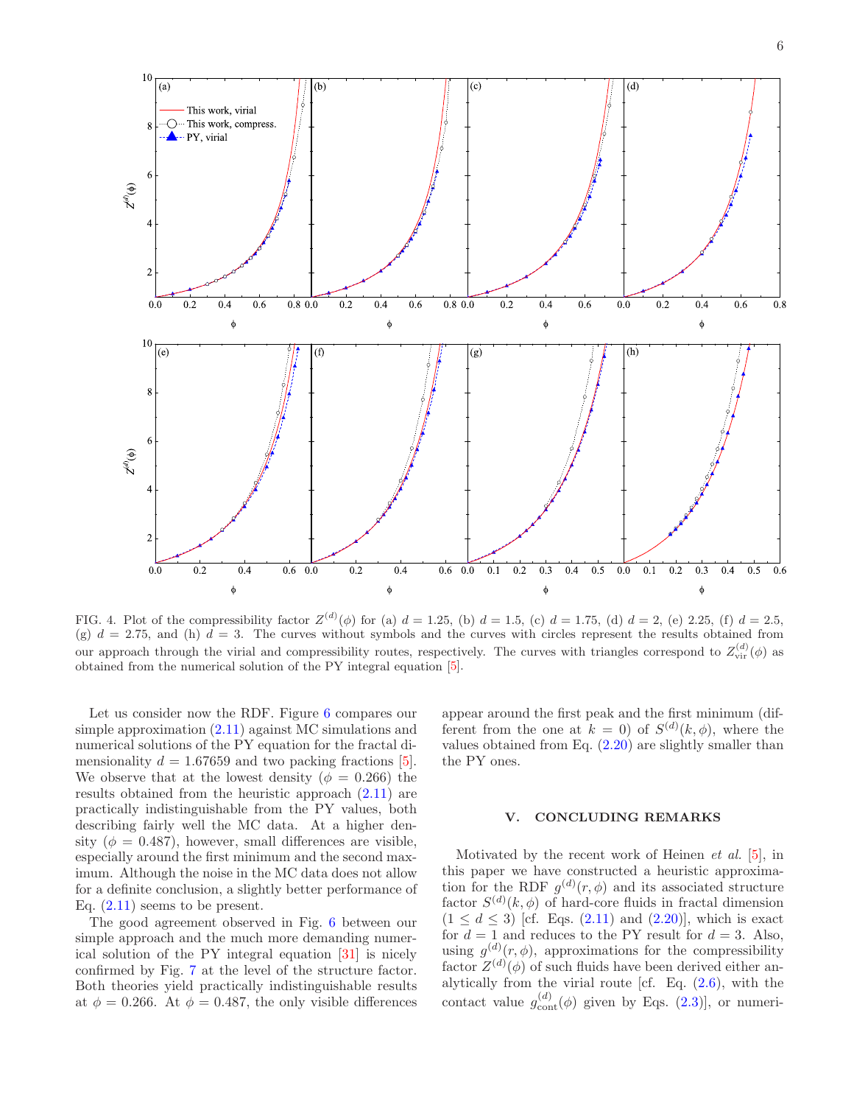

<span id="page-5-1"></span>FIG. 4. Plot of the compressibility factor  $Z^{(d)}(\phi)$  for (a)  $d = 1.25$ , (b)  $d = 1.5$ , (c)  $d = 1.75$ , (d)  $d = 2$ , (e) 2.25, (f)  $d = 2.5$ , (g)  $d = 2.75$ , and (h)  $d = 3$ . The curves without symbols and the curves with circles represent the results obtained from our approach through the virial and compressibility routes, respectively. The curves with triangles correspond to  $Z_{\text{vir}}^{(d)}(\phi)$  as obtained from the numerical solution of the PY integral equation [\[5\]](#page-8-3).

Let us consider now the RDF. Figure [6](#page-6-1) compares our simple approximation [\(2.11\)](#page-2-4) against MC simulations and numerical solutions of the PY equation for the fractal dimensionality  $d = 1.67659$  and two packing fractions [\[5\]](#page-8-3). We observe that at the lowest density ( $\phi = 0.266$ ) the results obtained from the heuristic approach [\(2.11\)](#page-2-4) are practically indistinguishable from the PY values, both describing fairly well the MC data. At a higher density ( $\phi = 0.487$ ), however, small differences are visible, especially around the first minimum and the second maximum. Although the noise in the MC data does not allow for a definite conclusion, a slightly better performance of Eq. [\(2.11\)](#page-2-4) seems to be present.

The good agreement observed in Fig. [6](#page-6-1) between our simple approach and the much more demanding numerical solution of the PY integral equation [\[31](#page-9-0)] is nicely confirmed by Fig. [7](#page-6-2) at the level of the structure factor. Both theories yield practically indistinguishable results at  $\phi = 0.266$ . At  $\phi = 0.487$ , the only visible differences appear around the first peak and the first minimum (different from the one at  $k = 0$ ) of  $S^{(d)}(k, \phi)$ , where the values obtained from Eq.  $(2.20)$  are slightly smaller than the PY ones.

#### <span id="page-5-0"></span>V. CONCLUDING REMARKS

Motivated by the recent work of Heinen et al. [\[5](#page-8-3)], in this paper we have constructed a heuristic approximation for the RDF  $g^{(d)}(r,\phi)$  and its associated structure factor  $S^{(d)}(k, \phi)$  of hard-core fluids in fractal dimension  $(1 \le d \le 3)$  [cf. Eqs.  $(2.11)$  and  $(2.20)$ ], which is exact for  $d = 1$  and reduces to the PY result for  $d = 3$ . Also, using  $g^{(d)}(r,\phi)$ , approximations for the compressibility factor  $Z^{(d)}(\phi)$  of such fluids have been derived either analytically from the virial route [cf. Eq.  $(2.6)$ , with the contact value  $g_{\text{cont}}^{(d)}(\phi)$  given by Eqs. [\(2.3\)](#page-1-7)], or numeri-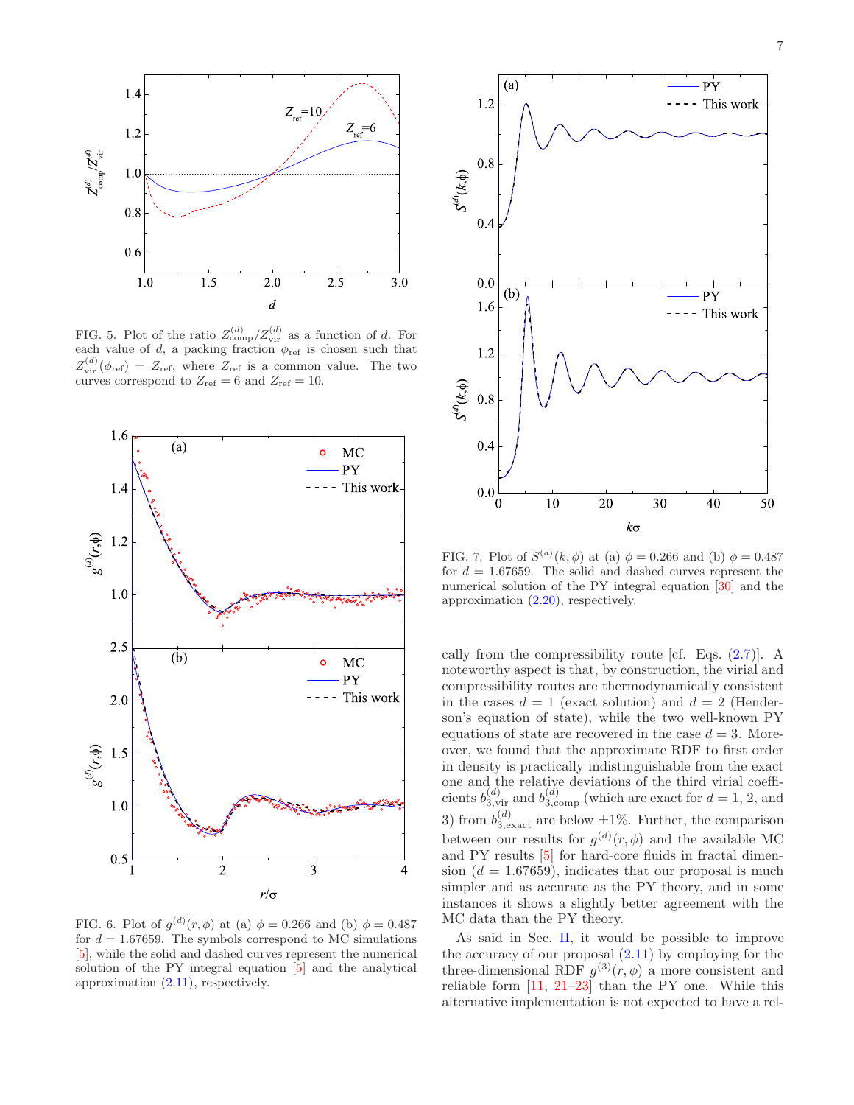

<span id="page-6-0"></span>FIG. 5. Plot of the ratio  $Z_{\text{comp}}^{(d)}/Z_{\text{vir}}^{(d)}$  as a function of d. For each value of d, a packing fraction  $\phi_{ref}$  is chosen such that  $Z_{\text{vir}}^{(d)}(\phi_{\text{ref}}) = Z_{\text{ref}}$ , where  $Z_{\text{ref}}$  is a common value. The two curves correspond to  $Z_{\text{ref}} = 6$  and  $Z_{\text{ref}} = 10$ .



<span id="page-6-1"></span>FIG. 6. Plot of  $g^{(d)}(r,\phi)$  at (a)  $\phi = 0.266$  and (b)  $\phi = 0.487$ for  $d = 1.67659$ . The symbols correspond to MC simulations [\[5](#page-8-3)], while the solid and dashed curves represent the numerical solution of the PY integral equation [\[5\]](#page-8-3) and the analytical approximation [\(2.11\)](#page-2-4), respectively.



<span id="page-6-2"></span>FIG. 7. Plot of  $S^{(d)}(k, \phi)$  at (a)  $\phi = 0.266$  and (b)  $\phi = 0.487$ for  $d = 1.67659$ . The solid and dashed curves represent the numerical solution of the PY integral equation [\[30](#page-9-1)] and the approximation [\(2.20\)](#page-3-5), respectively.

cally from the compressibility route [cf. Eqs.  $(2.7)$ ]. A noteworthy aspect is that, by construction, the virial and compressibility routes are thermodynamically consistent in the cases  $d = 1$  (exact solution) and  $d = 2$  (Henderson's equation of state), while the two well-known PY equations of state are recovered in the case  $d = 3$ . Moreover, we found that the approximate RDF to first order in density is practically indistinguishable from the exact one and the relative deviations of the third virial coefficients  $b_{3,\text{vir}}^{(d)}$  and  $b_{3,\text{comp}}^{(d)}$  (which are exact for  $d = 1, 2$ , and 3) from  $b_{3, \text{exact}}^{(d)}$  are below  $\pm 1\%$ . Further, the comparison between our results for  $g^{(d)}(r,\phi)$  and the available MC and PY results [\[5\]](#page-8-3) for hard-core fluids in fractal dimension  $(d = 1.67659)$ , indicates that our proposal is much simpler and as accurate as the PY theory, and in some instances it shows a slightly better agreement with the MC data than the PY theory.

As said in Sec. [II,](#page-1-0) it would be possible to improve the accuracy of our proposal  $(2.11)$  by employing for the three-dimensional RDF  $g^{(3)}(r,\phi)$  a more consistent and reliable form [\[11](#page-8-8), [21](#page-8-15)[–23\]](#page-8-16) than the PY one. While this alternative implementation is not expected to have a rel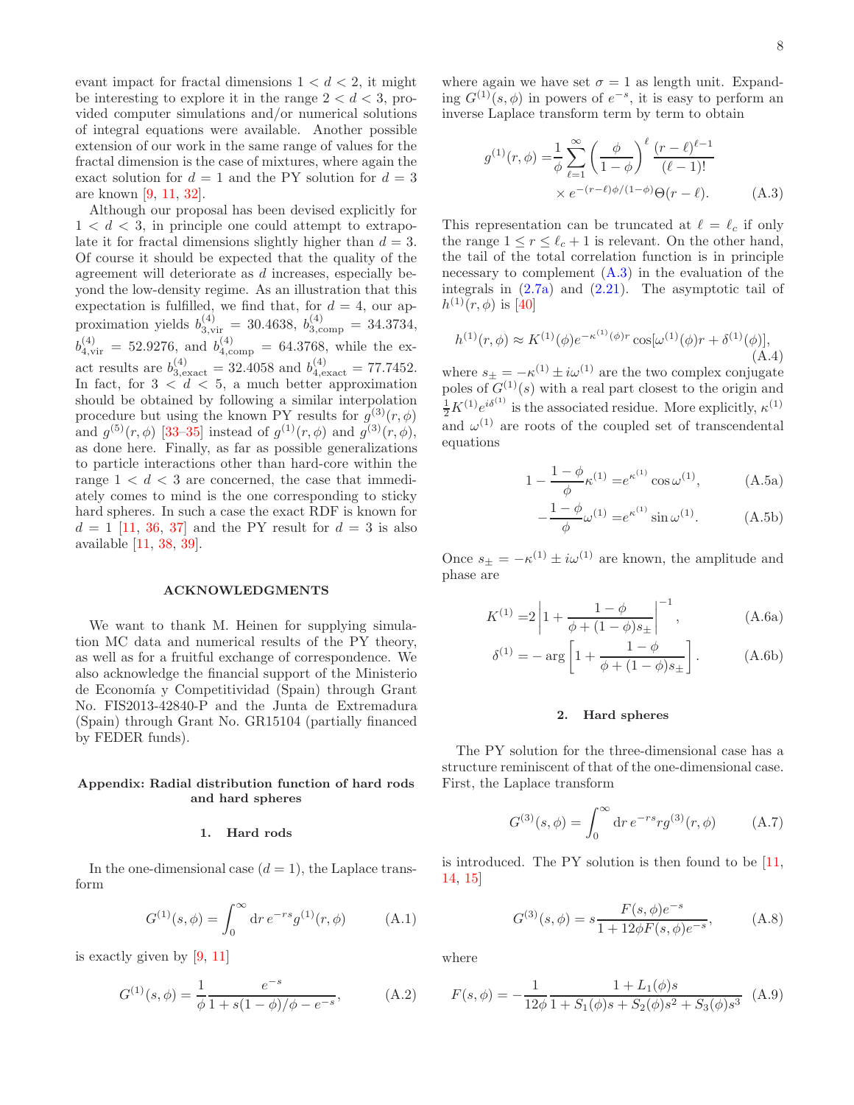evant impact for fractal dimensions  $1 < d < 2$ , it might be interesting to explore it in the range  $2 < d < 3$ , provided computer simulations and/or numerical solutions of integral equations were available. Another possible extension of our work in the same range of values for the fractal dimension is the case of mixtures, where again the exact solution for  $d = 1$  and the PY solution for  $d = 3$ are known [\[9,](#page-8-23) [11](#page-8-8), [32](#page-9-2)].

Although our proposal has been devised explicitly for  $1 < d < 3$ , in principle one could attempt to extrapolate it for fractal dimensions slightly higher than  $d = 3$ . Of course it should be expected that the quality of the agreement will deteriorate as d increases, especially beyond the low-density regime. As an illustration that this expectation is fulfilled, we find that, for  $d = 4$ , our approximation yields  $b_{3,\text{vir}}^{(4)} = 30.4638, b_{3,\text{comp}}^{(4)} = 34.3734,$  $b_{4,\text{vir}}^{(4)} = 52.9276$ , and  $b_{4,\text{comp}}^{(4)} = 64.3768$ , while the exact results are  $b_{3, \text{exact}}^{(4)} = 32.4058$  and  $b_{4, \text{exact}}^{(4)} = 77.7452$ . In fact, for  $3 < d < 5$ , a much better approximation should be obtained by following a similar interpolation procedure but using the known PY results for  $g^{(3)}(r,\phi)$ and  $g^{(5)}(r,\phi)$  [\[33](#page-9-3)-35] instead of  $g^{(1)}(r,\phi)$  and  $g^{(3)}(r,\phi)$ , as done here. Finally, as far as possible generalizations to particle interactions other than hard-core within the range  $1 < d < 3$  are concerned, the case that immediately comes to mind is the one corresponding to sticky hard spheres. In such a case the exact RDF is known for  $d = 1$  [\[11,](#page-8-8) [36,](#page-9-5) [37\]](#page-9-6) and the PY result for  $d = 3$  is also available [\[11,](#page-8-8) [38,](#page-9-7) [39\]](#page-9-8).

#### ACKNOWLEDGMENTS

We want to thank M. Heinen for supplying simulation MC data and numerical results of the PY theory, as well as for a fruitful exchange of correspondence. We also acknowledge the financial support of the Ministerio de Economía y Competitividad (Spain) through Grant No. FIS2013-42840-P and the Junta de Extremadura (Spain) through Grant No. GR15104 (partially financed by FEDER funds).

# Appendix: Radial distribution function of hard rods and hard spheres

#### 1. Hard rods

In the one-dimensional case  $(d = 1)$ , the Laplace transform

$$
G^{(1)}(s,\phi) = \int_0^\infty dr \, e^{-rs} g^{(1)}(r,\phi) \tag{A.1}
$$

is exactly given by [\[9,](#page-8-23) [11](#page-8-8)]

$$
G^{(1)}(s,\phi) = \frac{1}{\phi} \frac{e^{-s}}{1 + s(1 - \phi)/\phi - e^{-s}},
$$
 (A.2)

where again we have set  $\sigma = 1$  as length unit. Expanding  $G^{(1)}(s,\phi)$  in powers of  $e^{-s}$ , it is easy to perform an inverse Laplace transform term by term to obtain

<span id="page-7-0"></span>
$$
g^{(1)}(r,\phi) = \frac{1}{\phi} \sum_{\ell=1}^{\infty} \left(\frac{\phi}{1-\phi}\right)^{\ell} \frac{(r-\ell)^{\ell-1}}{(\ell-1)!}
$$
  
×  $e^{-(r-\ell)\phi/(1-\phi)}\Theta(r-\ell).$  (A.3)

This representation can be truncated at  $\ell = \ell_c$  if only the range  $1 \leq r \leq \ell_c + 1$  is relevant. On the other hand, the tail of the total correlation function is in principle necessary to complement  $(A.3)$  in the evaluation of the integrals in  $(2.7a)$  and  $(2.21)$ . The asymptotic tail of  $h^{(1)}(r, \phi)$  is [\[40\]](#page-9-9)

$$
h^{(1)}(r,\phi) \approx K^{(1)}(\phi)e^{-\kappa^{(1)}(\phi)r}\cos[\omega^{(1)}(\phi)r + \delta^{(1)}(\phi)],
$$
\n(A.4)

where  $s_{\pm} = -\kappa^{(1)} \pm i\omega^{(1)}$  are the two complex conjugate poles of  $G^{(1)}(s)$  with a real part closest to the origin and  $\frac{1}{2}K^{(1)}e^{i\delta^{(1)}}$  is the associated residue. More explicitly,  $\kappa^{(1)}$ and  $\omega^{(1)}$  are roots of the coupled set of transcendental equations

$$
1 - \frac{1 - \phi}{\phi} \kappa^{(1)} = e^{\kappa^{(1)}} \cos \omega^{(1)}, \tag{A.5a}
$$

$$
-\frac{1-\phi}{\phi}\omega^{(1)} = e^{\kappa^{(1)}}\sin\omega^{(1)}.
$$
 (A.5b)

Once  $s_{\pm} = -\kappa^{(1)} \pm i\omega^{(1)}$  are known, the amplitude and phase are

$$
K^{(1)} = 2\left|1 + \frac{1 - \phi}{\phi + (1 - \phi)s_{\pm}}\right|^{-1}, \tag{A.6a}
$$

$$
\delta^{(1)} = -\arg\left[1 + \frac{1 - \phi}{\phi + (1 - \phi)s_{\pm}}\right].
$$
 (A.6b)

## 2. Hard spheres

The PY solution for the three-dimensional case has a structure reminiscent of that of the one-dimensional case. First, the Laplace transform

$$
G^{(3)}(s,\phi) = \int_0^\infty dr \, e^{-rs} r g^{(3)}(r,\phi) \tag{A.7}
$$

is introduced. The PY solution is then found to be  $[11]$ , [14](#page-8-24), [15](#page-8-25)]

<span id="page-7-1"></span>
$$
G^{(3)}(s,\phi) = s \frac{F(s,\phi)e^{-s}}{1 + 12\phi F(s,\phi)e^{-s}},
$$
 (A.8)

where

$$
F(s,\phi) = -\frac{1}{12\phi} \frac{1 + L_1(\phi)s}{1 + S_1(\phi)s + S_2(\phi)s^2 + S_3(\phi)s^3}
$$
 (A.9)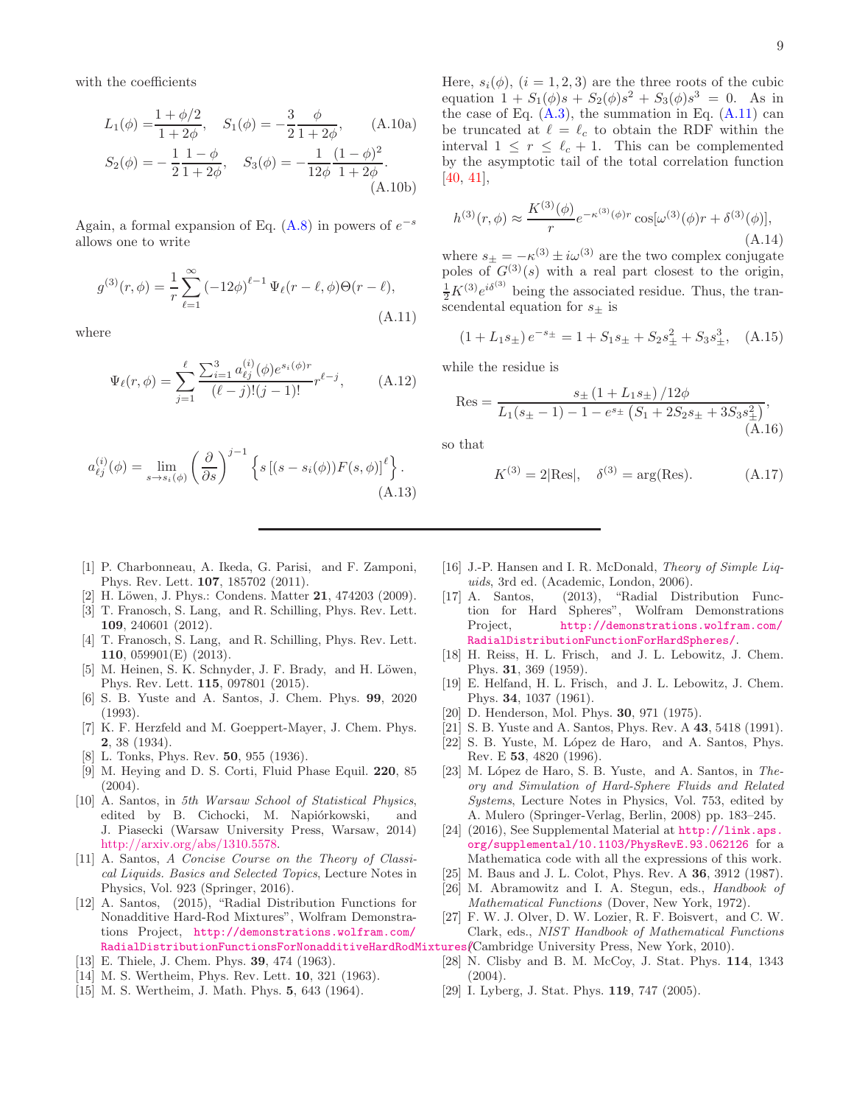with the coefficients

$$
L_1(\phi) = \frac{1 + \phi/2}{1 + 2\phi}, \quad S_1(\phi) = -\frac{3}{2} \frac{\phi}{1 + 2\phi}, \quad (A.10a)
$$

$$
S_2(\phi) = -\frac{1}{2} \frac{1 - \phi}{1 + 2\phi}, \quad S_3(\phi) = -\frac{1}{12\phi} \frac{(1 - \phi)^2}{1 + 2\phi}.
$$
\n(A.10b)

Again, a formal expansion of Eq.  $(A.8)$  in powers of  $e^{-s}$ allows one to write

<span id="page-8-26"></span>
$$
g^{(3)}(r,\phi) = \frac{1}{r} \sum_{\ell=1}^{\infty} (-12\phi)^{\ell-1} \Psi_{\ell}(r-\ell,\phi) \Theta(r-\ell),
$$
\n(A.11)

where

$$
\Psi_{\ell}(r,\phi) = \sum_{j=1}^{\ell} \frac{\sum_{i=1}^{3} a_{\ell j}^{(i)}(\phi) e^{s_i(\phi)r}}{(\ell-j)!(j-1)!} r^{\ell-j}, \quad (A.12)
$$

$$
a_{\ell j}^{(i)}(\phi) = \lim_{s \to s_i(\phi)} \left(\frac{\partial}{\partial s}\right)^{j-1} \left\{ s \left[ (s - s_i(\phi)) F(s, \phi) \right]^{\ell} \right\}.
$$
\n(A.13)

Here,  $s_i(\phi)$ ,  $(i = 1, 2, 3)$  are the three roots of the cubic equation  $1 + S_1(\phi)s + S_2(\phi)s^2 + S_3(\phi)s^3 = 0$ . As in the case of Eq.  $(A.3)$ , the summation in Eq.  $(A.11)$  can be truncated at  $\ell = \ell_c$  to obtain the RDF within the interval  $1 \leq r \leq \ell_c + 1$ . This can be complemented by the asymptotic tail of the total correlation function [\[40,](#page-9-9) [41\]](#page-9-10),

$$
h^{(3)}(r,\phi) \approx \frac{K^{(3)}(\phi)}{r} e^{-\kappa^{(3)}(\phi)r} \cos[\omega^{(3)}(\phi)r + \delta^{(3)}(\phi)],
$$
\n(A.14)

where  $s_{\pm} = -\kappa^{(3)} \pm i\omega^{(3)}$  are the two complex conjugate poles of  $G^{(3)}(s)$  with a real part closest to the origin,  $\frac{1}{2}K^{(3)}e^{i\delta^{(3)}}$  being the associated residue. Thus, the transcendental equation for  $s_\pm$  is

$$
(1 + L_1 s_{\pm}) e^{-s_{\pm}} = 1 + S_1 s_{\pm} + S_2 s_{\pm}^2 + S_3 s_{\pm}^3, \quad (A.15)
$$

while the residue is

$$
Res = \frac{s_{\pm} (1 + L_1 s_{\pm}) / 12\phi}{L_1 (s_{\pm} - 1) - 1 - e^{s_{\pm}} (S_1 + 2S_2 s_{\pm} + 3S_3 s_{\pm}^2)},
$$
(A.16)

so that

$$
K^{(3)} = 2|\text{Res}|, \quad \delta^{(3)} = \arg(\text{Res}).
$$
 (A.17)

- <span id="page-8-0"></span>[1] P. Charbonneau, A. Ikeda, G. Parisi, and F. Zamponi, Phys. Rev. Lett. 107, 185702 (2011).
- <span id="page-8-1"></span>[2] H. Löwen, J. Phys.: Condens. Matter 21, 474203 (2009).
- [3] T. Franosch, S. Lang, and R. Schilling, Phys. Rev. Lett. 109, 240601 (2012).
- <span id="page-8-2"></span>[4] T. Franosch, S. Lang, and R. Schilling, Phys. Rev. Lett. 110, 059901(E) (2013).
- <span id="page-8-3"></span>M. Heinen, S. K. Schnyder, J. F. Brady, and H. Löwen, Phys. Rev. Lett. 115, 097801 (2015).
- <span id="page-8-4"></span>[6] S. B. Yuste and A. Santos, J. Chem. Phys. 99, 2020 (1993).
- <span id="page-8-5"></span>[7] K. F. Herzfeld and M. Goeppert-Mayer, J. Chem. Phys. 2, 38 (1934).
- [8] L. Tonks, Phys. Rev. 50, 955 (1936).
- <span id="page-8-23"></span>[9] M. Heying and D. S. Corti, Fluid Phase Equil. 220, 85  $(2004).$
- <span id="page-8-7"></span>[10] A. Santos, in 5th Warsaw School of Statistical Physics, edited by B. Cichocki, M. Napiórkowski, and J. Piasecki (Warsaw University Press, Warsaw, 2014) [http://arxiv.org/abs/1310.5578.](arXiv:1310.5578)
- <span id="page-8-8"></span>[11] A. Santos, A Concise Course on the Theory of Classical Liquids. Basics and Selected Topics, Lecture Notes in Physics, Vol. 923 (Springer, 2016).
- <span id="page-8-6"></span>[12] A. Santos, (2015), "Radial Distribution Functions for Nonadditive Hard-Rod Mixtures", Wolfram Demonstrations Project, [http://demonstrations.wolfram.com/](http://demonstrations.wolfram.com/RadialDistributionFunctionsForNonadditiveHardRodMixtures/) RadialDistributionFunctionsForNonadditiveHardRodMixtures(Cambridge University Press, New York, 2010).
- <span id="page-8-9"></span>[13] E. Thiele, J. Chem. Phys. 39, 474 (1963).
- <span id="page-8-24"></span>[14] M. S. Wertheim, Phys. Rev. Lett. **10**, 321 (1963).
- <span id="page-8-25"></span>[15] M. S. Wertheim, J. Math. Phys. 5, 643 (1964).
- <span id="page-8-14"></span>[16] J.-P. Hansen and I. R. McDonald, Theory of Simple Liquids, 3rd ed. (Academic, London, 2006).
- <span id="page-8-10"></span>[17] A. Santos, (2013), "Radial Distribution Function for Hard Spheres", Wolfram Demonstrations Project, [http://demonstrations.wolfram.com/](http://demonstrations.wolfram.com/RadialDistributionFunctionForHardSpheres/) [RadialDistributionFunctionForHardSpheres/](http://demonstrations.wolfram.com/RadialDistributionFunctionForHardSpheres/).
- <span id="page-8-11"></span>[18] H. Reiss, H. L. Frisch, and J. L. Lebowitz, J. Chem. Phys. 31, 369 (1959).
- <span id="page-8-12"></span>[19] E. Helfand, H. L. Frisch, and J. L. Lebowitz, J. Chem. Phys. 34, 1037 (1961).
- <span id="page-8-13"></span>[20] D. Henderson, Mol. Phys. **30**, 971 (1975).
- <span id="page-8-15"></span>[21] S. B. Yuste and A. Santos, Phys. Rev. A 43, 5418 (1991).
- [22] S. B. Yuste, M. López de Haro, and A. Santos, Phys. Rev. E 53, 4820 (1996).
- <span id="page-8-16"></span>[23] M. López de Haro, S. B. Yuste, and A. Santos, in Theory and Simulation of Hard-Sphere Fluids and Related Systems, Lecture Notes in Physics, Vol. 753, edited by A. Mulero (Springer-Verlag, Berlin, 2008) pp. 183–245.
- <span id="page-8-17"></span>[24] (2016), See Supplemental Material at [http://link.aps.](http://link.aps.org/supplemental/ 10.1103/PhysRevE.93.062126) [org/supplemental/10.1103/PhysRevE.93.062126](http://link.aps.org/supplemental/ 10.1103/PhysRevE.93.062126) for a Mathematica code with all the expressions of this work.
- <span id="page-8-18"></span>[25] M. Baus and J. L. Colot, Phys. Rev. A **36**, 3912 (1987).
- <span id="page-8-19"></span>[26] M. Abramowitz and I. A. Stegun, eds., Handbook of Mathematical Functions (Dover, New York, 1972).
- <span id="page-8-20"></span>[27] F. W. J. Olver, D. W. Lozier, R. F. Boisvert, and C. W. Clark, eds., NIST Handbook of Mathematical Functions
- <span id="page-8-21"></span>[28] N. Clisby and B. M. McCoy, J. Stat. Phys. 114, 1343  $(2004).$
- <span id="page-8-22"></span>[29] I. Lyberg, J. Stat. Phys. **119**, 747 (2005).